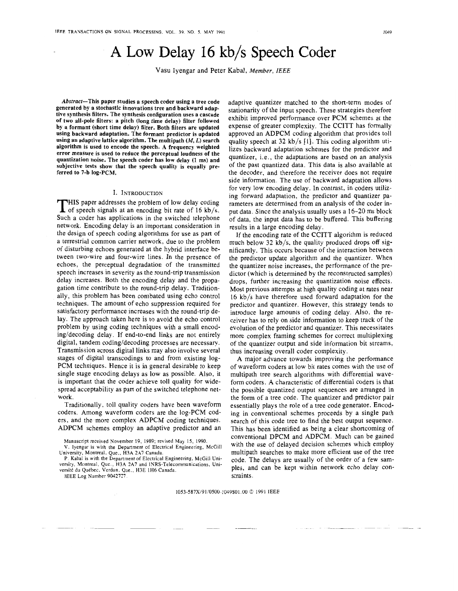# **A** Low Delay 16 kb/s Speech Coder

Vasu Iyengar and Peter Kabal, *Member. IEEE* 

**Absrruct-This paper studies a speech coder using a tree code generated by a stochastic innovations tree and backward adaptive synthesis filters. The synthesis configuration uses a cascade of two all-pole filters: a pitch (long time delay) filter followed by a formant (short time delay) filter. Both filters are updated using backward adaptation. The formant predictor is updated using an adaptive lattice algorithm. The multipath** *(M, L)* **search algorithm is used to encode the speech, A frequency weighted error measure is used to reduce the perceptual loudness of the quantization noise. The speech coder has low delay (1 ms) and subjective tests show that the speech quality is equally preferred to 7-b log-PCM.** 

## I. INTRODUCTION

THIS paper addresses the problem of low delay coding<br>of speech signals at an encoding bit rate of 16 kb/s. HIS paper addresses the problem of low delay coding Such a coder has applications in the switched telephone network. Encoding delay is an important consideration in the design of speech coding algorithms for use as part of a terrestrial common carrier network, due to the problem of disturbing echoes generated at the hybrid interface between two-wire and four-wire lines. In the presence of echoes, the perceptual degradation of the transmitted speech increases in severity as the round-trip transmission delay increases. Both the encoding delay and the propagation time contribute to the round-trip delay. Traditionally, this problem has been combated using echo control techniques. The amount of echo suppression required for satisfactory performance increases with the round-trip delay. The approach taken here is to avoid the echo control problem by using coding techniques with a small encoding/decoding delay. If end-to-end links are not entirely digital, tandem coding/decoding processes are necessary. Transmission across digital links may also involve several stages of digital transcodings to and from existing log-PCM techniques. Hence it is in general desirable to keep single stage encoding delays as low as possible. Also, it is important that the coder achieve toll quality for widespread acceptability as part of the switched telephone network.

Traditionally, toll quality coders have been waveform coders. Among waveform coders are the log-PCM coders, and the more complex ADPCM coding techniques. ADPCM schemes employ an adaptive predictor and an

IEEE Log Number **9042727** 

adaptive quantizer matched to the short-term modes of stationarity of the input speech. These strategies therefore exhibit improved performance over PCM schemes at the expense of greater complexity. The CCITT has formally approved an ADPCM coding algorithm that provides toll quality speech at 32 kb/s [l]. This coding algorithm utilizes backward adaptation schemes for the predictor and quantizer, i.e., the adaptations are based on an analysis of the past quantized data. This data is also available at the decoder, and therefore the receiver does not require side information. The use of backward adaptation allows for very low encoding delay. In contrast, in coders utilizing forward adaptation, the predictor and quantizer parameters are determined from an analysis of the coder input data. Since the analysis usually uses a 16-20 ms block of data, the input data has to be buffered. This buffering results in a large encoding delay.

If the encoding rate of the CCITT algorithm is reduced much below 32 kb/s, the quality produced drops off significantly. This occurs because of the interaction between the predictor update algorithm and the quantizer. When the quantizer noise increases, the performance of the predictor (which is determined by the reconstructed samples) drops, further increasing the quantization noise effects. Most previous attempts at high quality coding at rates near 16 kb/s have therefore used forward adaptation for the predictor and quantizer. However, this strategy tends to introduce large amounts of coding delay. Also, the receiver has to rely on side information to keep track of the evolution of the predictor and quantizer. This necessitates more complex framing schemes for correct multiplexing of the quantizer output and side information bit streams, thus increasing overall coder complexity.

A major advance towards improving the performance of waveform coders at low bit rates comes with the use of multipath tree search algorithms with differential waveform coders. A characteristic of differential coders is that the possible quantized output sequences are arranged in the form of a tree code. The quantizer and predictor pair essentially plays the role of a tree code generator. Encoding in conventional schemes proceeds by a single path search of this code tree to find the best output sequence. This has been identified as being a clear shortcoming of conventional DPCM and ADPCM. Much can be gained with the use of delayed decision schemes which employ multipath searches to make more efficient use of the tree code. The delays are usually of the order of a few samples, and can be kept within network echo delay constraints.

Manuscript received November 19, 1989; revised May 15, 1990.

V. lyengar is with the Department of Electrical Engineering, McGill University, Montreal, Que., **H3A 2A7** Canada.

P. Kahal is with the Department of Electrical Engineering, McGill University, Montreal. Que., H3A **2A7** and INRS-Telecommunications. Université du Québec, Verdun, Que., H3E 1H6 Canada.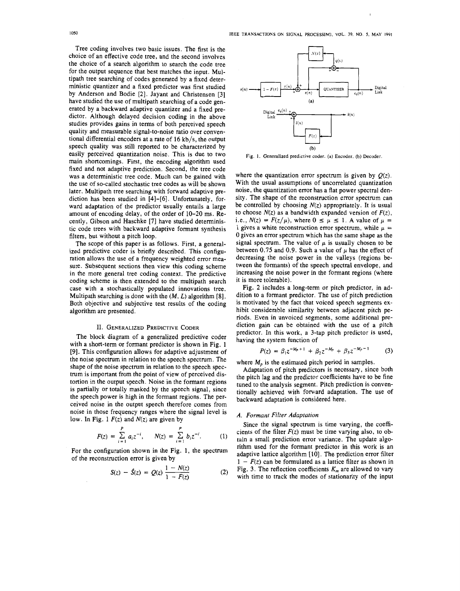Tree coding involves two basic issues. The first is the choice of an effective code tree, and the second involves the choice of a search algorithm to search the code tree for the output sequence that best matches the input. Multipath tree searching of codes generated by a fixed deterministic quantizer and a fixed predictor was first studied by Anderson and Bodie [2]. Jayant and Christensen [3] have studied the use of multipath searching of a code generated by a backward adaptive quantizer and a fixed predictor. Although delayed decision coding in the above studies provides gains in terms of both perceived speech quality and measurable signal-to-noise ratio over conventional differential encoders at a rate of 16 kb/s, the output speech quality was still reported to be characterized by easily perceived quantization noise. This is due to two main shortcomings. First, the encoding algorithm used fixed and not adaptive prediction. Second, the tree code was a deterministic tree code. Much can be gained with the use of so-called stochastic tree codes as will be shown later. Multipath tree searching with forward adaptive prediction has been studied in [4]-[6]. Unfortunately, forward adaptation of the predictor usually entails a large amount of encoding delay, of the order of 10-20 ms. Recently, Gibson and Haschke **[7]** have studied deterministic code trees with backward adaptive formant synthesis filters, but without a pitch loop.

The scope of this paper is as follows. First, a generalized predictive coder is briefly described. This configuration allows the use of **a** frequency weighted error measure. Subsequent sections then view this coding scheme in the more general tree coding context. The predictive coding scheme is then extended to the multipath search case with a stochastically populated innovations tree. Multipath searching is done with the *(M, L)* algorithm **[8].**  Both objective and subjective test results of the coding algorithm are presented.

# 11. GENERALIZED PREDICTIVE CODER

The block diagram of a generalized predictive coder with a short-term or formant predictor is shown in Fig. 1 [9]. This configuration allows for adaptive adjustment of the noise spectrum in relation to the speech spectrum. The shape of the noise spectrum in relation to the speech spectrum is important from the point of view of perceived distortion in the output speech. Noise in the formant regions is partially or totally masked by the speech signal, since the speech power is high in the formant regions. The perceived noise in the output speech therefore comes from noise in those frequency ranges where the signal level is low. In Fig. 1  $F(z)$  and  $N(z)$  are given by

$$
F(z) = \sum_{i=1}^{P} a_i z^{-i}, \qquad N(z) = \sum_{i=1}^{P} b_i z^{-i}.
$$
 (1)

For the configuration shown in the Fig. 1, the spectrum of the reconstruction error is given by

$$
S(z) - \hat{S}(z) = Q(z) \frac{1 - N(z)}{1 - F(z)}
$$
(2)



Fig. I. Generalized predictive coder. (a) Encoder. (b) Decoder.

where the quantization error spectrum is given by  $Q(z)$ . With the usual assumptions of uncorrelated quantization noise, the quantization error has a flat power spectral density. The shape of the reconstruction error spectrum can be controlled by choosing  $N(z)$  appropriately. It is usual<br>to choose  $N(z)$  as a bandwidth expanded version of  $F(z)$ ,<br>i.e.,  $N(z) = F(z/\mu)$ , where  $0 \le \mu \le 1$ . A value of  $\mu =$ <br>1. gives a white reconstruction error spectrum, w to choose  $N(z)$  as a bandwidth expanded version of  $F(z)$ , 1 gives a white reconstruction error spectrum, while  $\mu =$ 0 gives an error spectrum which has the same shape as the signal spectrum. The value of  $\mu$  is usually chosen to be between 0.75 and 0.9. Such a value of  $\mu$  has the effect of decreasing the noise power in the valleys (regions between the formants) of the speech spectral envelope, and increasing the noise power in the formant regions (where it is more tolerable).

Fig. 2 includes a long-term **or** pitch predictor, in addition to a formant predictor. The use of pitch prediction is motivated by the fact that voiced speech segments exhibit considerable similarity between adjacent pitch periods. Even in unvoiced segments, some additional prediction gain can be obtained with the use of a pitch predictor. In this work, a 3-tap pitch predictor is used, having the system function of

$$
P(z) = \beta_1 z^{-M_p+1} + \beta_2 z^{-M_p} + \beta_3 z^{-M_p-1}
$$
 (3)

where  $M_p$  is the estimated pitch period in samples.

Adaptation of pitch predictors is necessary, since both the pitch lag and the predictor coefficients have to be fine tuned to the analysis segment. Pitch prediction is conventionally achieved with forward adaptation. The use of backward adaptation is considered here.

### *A. Formant Filter Adaptation*

Since the signal spectrum is time varying, the coefficients of the filter  $F(z)$  must be time varying also, to obise in the output speech therefore comes from<br>
nose frequency ranges where the signal level is<br>  $F(z) = \sum_{i=1}^{P} a_i z^{-i}$ ,  $N(z) = \sum_{i=1}^{P} b_i z^{-i}$ . (1)<br>  $F(z) = \sum_{i=1}^{P} a_i z^{-i}$ ,  $N(z) = \sum_{i=1}^{P} b_i z^{-i}$ . (1)<br>  $F(z) = \sum_{i=1}^{P} a_i z^{$ rithm used for the formant predictor in this work is an adaptive lattice algorithm [ **101.** The prediction error filter  $1 - F(z)$  can be formulated as a lattice filter as shown in Fig. 3. The reflection coefficients  $K_m$  are allowed to vary with time to track the modes of stationarity of the input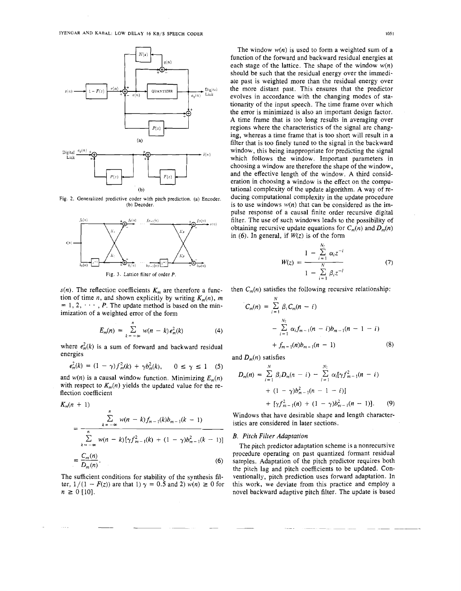

Fig. 2. Generalized predictive coder with pitch prediction. (a) Encoder.<br>(b) Decoder.



 $s(n)$ . The reflection coefficients  $K_m$  are therefore a function of time *n*, and shown explicitly by writing  $K_m(n)$ , *m*  $= 1, 2, \dots, P$ . The update method is based on the minimization of a weighted error of the form

$$
E_m(n) = \sum_{k=-\infty}^{n} w(n-k) e_m^2(k)
$$
 (4)

where  $e_m^2(k)$  is a sum of forward and backward residual energies

Here 
$$
e_m^T(k)
$$
 is a sum of forward and backward residual  
ergies  

$$
e_m^2(k) = (1 - \gamma) f_m^2(k) + \gamma b_m^2(k), \qquad 0 \le \gamma \le 1 \quad (5)
$$
  

$$
D_n(n) = \sum_{n=1}^{N} \beta_n D_n(n-1) - \sum_{n=1}^{N} \beta_n^2(n-1) - \sum_{n=1}^{N} \beta_n^2(n-1) - \sum_{n=1}^{N} \beta_n^2(n-1) - \sum_{n=1}^{N} \beta_n^2(n-1) - \sum_{n=1}^{N} \beta_n^2(n-1) - \sum_{n=1}^{N} \beta_n^2(n-1) - \sum_{n=1}^{N} \beta_n^2(n-1) - \sum_{n=1}^{N} \beta_n^2(n-1) - \sum_{n=1}^{N} \beta_n^2(n-1) - \sum_{n=1}^{N} \beta_n^2(n-1) - \sum_{n=1}^{N} \beta_n^2(n-1) - \sum_{n=1}^{N} \beta_n^2(n-1) - \sum_{n=1}^{N} \beta_n^2(n-1) - \sum_{n=1}^{N} \beta_n^2(n-1) - \sum_{n=1}^{N} \beta_n^2(n-1) - \sum_{n=1}^{N} \beta_n^2(n-1) - \sum_{n=1}^{N} \beta_n^2(n-1) - \sum_{n=1}^{N} \beta_n^2(n-1) - \sum_{n=1}^{N} \beta_n^2(n-1) - \sum_{n=1}^{N} \beta_n^2(n-1) - \sum_{n=1}^{N} \beta_n^2(n-1) - \sum_{n=1}^{N} \beta_n^2(n-1) - \sum_{n=1}^{N} \beta_n^2(n-1) - \sum_{n=1}^{N} \beta_n^2(n-1) - \sum_{n=1}^{N} \beta_n^2(n-1) - \sum_{n=1}^{N} \beta_n^2(n-1) - \sum_{n=1}^{N} \beta_n^2(n-1) - \sum_{n=1}^{N} \beta_n^2(n-1) - \sum_{n=1}^{N} \beta_n^2(n-1) - \sum_{n=1}^{N} \beta_n^2(n-1) - \sum_{n=1}^{N} \beta_n^2(n-1) - \sum_{n=1}^{N} \beta_n^2(n-1) - \sum_{n=1}^{N} \beta_n^2
$$

and  $w(n)$  is a causal window function. Minimizing  $E_m(n)$ with respect to  $K_m(n)$  yields the updated value for the re-<br>flection coefficient  $+(1 - \gamma)b_{m-1}^2(n - 1 - i)$ 

$$
K_m(n + 1)
$$
  
= 
$$
\frac{\sum_{k=-\infty}^{n} w(n - k) f_{m-1}(k) b_{m-1}(k - 1)}{\sum_{k=-\infty}^{n} w(n - k) [\gamma f_{m-1}^2(k) + (1 - \gamma) b_{m-1}^2(k - 1)]}
$$
  
= 
$$
\frac{C_m(n)}{D_m(n)}.
$$
 (6)

The sufficient conditions for stability of the synthesis filter,  $1/(1 - F(z))$  are that 1)  $\gamma = 0.5$  and 2)  $w(n) \ge 0$  for  $n \geq 0$  [10].

The window  $w(n)$  is used to form a weighted sum of a function of the forward and backward residual energies at each stage of the lattice. The shape of the window  $w(n)$ should be such that the residual energy over the immediate past is weighted more than the residual energy over the more distant past. This ensures that the predictor evolves in accordance with the changing modes of stationarity of the input speech. The time frame over which the error is minimized is also an important design factor. **A** time frame that is too long results in averaging over regions where the characteristics of the signal are changing, whereas a time frame that is too short will result in a filter that is too finely tuned to the signal in the backward Digltal 'qln) *!p* +\* window, this being inappropriate for predicting the signal Llnh -+ T *-4-,* **c J^(r,)** which follows the window. Important parameters in choosing a window are therefore the shape of the window, and the effective length of the window. **A** third consideration in choosing a window is the effect on the compu- (b) tational complexity of the update algorithm. A way of re-<br>
er with pich prediction (a) Encoder ducing computational complexity in the update procedure is to use windows  $w(n)$  that can be considered as the impulse response of a causal finite order recursive digital filter. The use of such windows leads to the possibility of obtaining recursive update equations for  $C_m(n)$  and  $D_m(n)$ in  $(6)$ . In general, if  $W(z)$  is of the form

$$
W(z) = \frac{1 - \sum_{i=1}^{N_z} \alpha_i z^{-i}}{1 - \sum_{i=1}^{N} \beta_i z^{-i}}
$$
(7)

then  $C_m(n)$  satisfies the following recursive relationship:

$$
C_m(n) = \sum_{i=1}^{N} \beta_i C_m(n - i)
$$
  
- 
$$
\sum_{i=1}^{N_c} \alpha_i f_{m-1}(n - i) b_{m-1}(n - 1 - i)
$$
  
+ 
$$
f_{m-1}(n) b_{m-1}(n - 1)
$$
 (8)

and  $D_m(n)$  satisfies

$$
D_m(n) = \sum_{i=1}^N \beta_i D_m(n-i) - \sum_{i=1}^{N_z} \alpha_i [\gamma f_{m-1}^2(n-i) + (1-\gamma)b_{m-1}^2(n-1-i)] + [\gamma f_{m-1}^2(n) + (1-\gamma)b_{m-1}^2(n-1)]. \tag{9}
$$

Windows that have desirable shape and length characteristics are considered in later sections.

# *B. Pitch Filter Adaptation*

The pitch predictor adaptation scheme is a nonrecursive procedure operating on past quantized formant residual samples. Adaptation of the pitch predictor requires both the pitch lag and pitch coefficients to be updated. Conventionally, pitch prediction uses forward adaptation. In this work, we deviate from this practice and employ a novel backward adaptive pitch filter. The update is based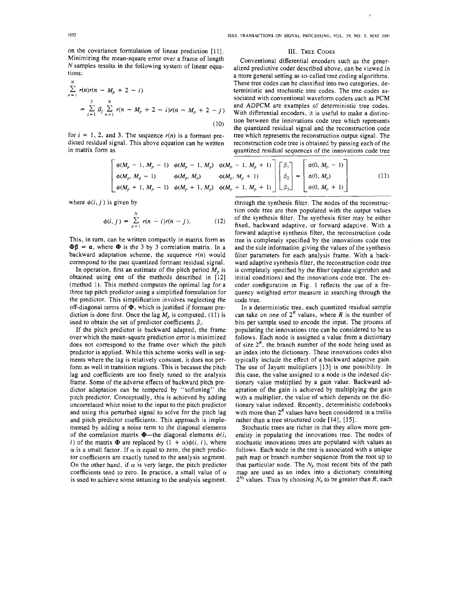on the covariance formulation of linear prediction [11]. **III.** TREE CODES Minimizing the mean-square error over a frame of length Conventional differential encoders such as the gener-<br>N samples results in the following system of linear equa-<br>alized predictive coder described above, can be viewe

$$
\sum_{n=1}^{n} r(n)r(n - M_p + 2 - i)
$$
  
= 
$$
\sum_{j=1}^{3} \beta_j \sum_{n=1}^{N} r(n - M_p + 2 - i)r(n - M_p + 2 - j)
$$
 (10)

tions:<br>a more general setting as so-called tree coding algorithms.<br>Note that the codes can be classified into two ostateries do These tree codes can be classified into two categories, de*c terministic and stochastic tree codes. The tree codes as*sociated with conventional waveform coders such as PCM and ADPCM are examples of deterministic tree codes. With differential encoders, it is useful to make a distinction between the innovations code tree which represents (iv) the quantized residual signal and the reconstruction code<br>for  $i = 1, 2$ , and 3. The sequence  $r(n)$  is a formant pre-<br>tree which represents the reconstruction output signal. The for  $i = 1, 2$ , and 3. The sequence  $r(n)$  is a formant pre-<br>dicted residual signal. This above equation can be written reconstruction code tree is obtained by passing each of the dicted residual signal. This above equation can be written reconstruction code tree is obtained by passing each of the in matrix form as quantized residual sequences of the innovations code tree

$$
\begin{bmatrix}\n\phi(M_p - 1, M_p - 1) & \phi(M_p - 1, M_p) & \phi(M_p - 1, M_p + 1) \\
\phi(M_p, M_p - 1) & \phi(M_p, M_p) & \phi(M_p, M_p + 1) \\
\phi(M_p + 1, M_p - 1) & \phi(M_p + 1, M_p) & \phi(M_p + 1, M_p + 1)\n\end{bmatrix}\n\begin{bmatrix}\n\beta_1 \\
\beta_2 \\
\beta_3\n\end{bmatrix}\n=\n\begin{bmatrix}\n\phi(0, M_p - 1) \\
\phi(0, M_p)\n\end{bmatrix}
$$
\n(11)

where  $\phi(i, j)$  is given by

$$
\phi(i, j) = \sum_{n=1}^{N} r(n - i)r(n - j).
$$
 (12)

This, in turn, can be written compactly in matrix form as  $\Phi\beta = \alpha$ , where  $\Phi$  is the 3 by 3 correlation matrix. In a backward adaptation scheme, the sequence  $r(n)$  would correspond to the past quantized formant residual signal.

In operation, first an estimate of the pitch period  $M<sub>n</sub>$  is obtained using one of the methods described in [12] (method 1). This method computes the optimal lag for a three tap pitch predictor using a simplified formulation for the predictor. This simplification involves neglecting the off-diagonal terms of @, which is justified if formant prediction is done first. Once the lag  $M_p$  is computed, (11) is used to obtain the set of predictor coefficients  $\beta_i$ .

If the pitch predictor is backward adapted, the frame over which the mean-square prediction error is minimized does not correspond to the frame over which the pitch predictor is applied. While this scheme works well in segments where the lag is relatively constant, it does not perform as well in transition regions. This is because the pitch lag and coefficients are too finely tuned to the analysis frame. Some of the adverse effects of backward pitch predictor adaptation can be tempered by "softening" the pitch predictor. Conceptually, this is achieved by adding uncorrelated white noise to the input to the pitch predictor and using this perturbed signal to solve for the pitch lag and pitch predictor coefficients. This approach is implemented by adding a noise term to the diagonal elements of the correlation matrix  $\Phi$ —the diagonal elements  $\phi(i, \theta)$ *i*) of the matrix  $\Phi$  are replaced by  $(1 + \alpha)\phi(i, i)$ , where  $\alpha$  is a small factor. If  $\alpha$  is equal to zero, the pitch predictor coefficients are exactly tuned to the analysis segment. On the other hand, if  $\alpha$  is very large, the pitch predictor coefficients tend to zero. In practice, a small value of  $\alpha$ is used to achieve some untuning to the analysis segment. through the synthesis filter. The nodes of the reconstruction code tree are then populated with the output values of the synthesis filter. The synthesis filter may be either fixed, backward adaptive, or forward adaptive. With a forward adaptive synthesis filter, the reconstruction code tree is completely specified by the innovations code tree and the side information giving the values of the synthesis filter parameters for each analysis frame. With a backward adaptive synthesis filter, the reconstruction code tree is completely specified by the filter (update algorithm and initial conditions) and the innovations code tree. The encoder configuration in Fig. I reflects the use of a frequency weighted error measure in searching through the code tree.

In a deterministic tree, each quantized residual sample can take on one of  $2^R$  values, where R is the number of bits per sample used to encode the input. The process of populating the innovations tree can be considered to be as follows. Each node is assigned a value from a dictionary of size *2R,* the branch number of the node being used as an index into the dictionary. These innovations codes also typically include the effect of a backward adaptive gain. The use of Jayant multipliers [13] is one possibility. In this case, the value assigned to a node is the indexed dictionary value multiplied by a gain value. Backward adaptation of the gain is achieved by multiplying the gain with a multiplier, the value of which depends on the dictionary value indexed. Recently, deterministic codebooks with more than  $2<sup>R</sup>$  values have been considered in a trellis rather than a tree structured code [14], [15].

Stochastic trees are richer in that they allow more generality in populating the innovations tree. The nodes of stochastic innovations trees are populated with values as follows. Each node in the tree is associated with a unique path map or branch number sequence from the root up to that particular node. The  $N_b$  most recent bits of the path map are used as an index into a dictionary containing  $2^{N_b}$  values. Thus by choosing  $N_b$  to be greater than *R*, each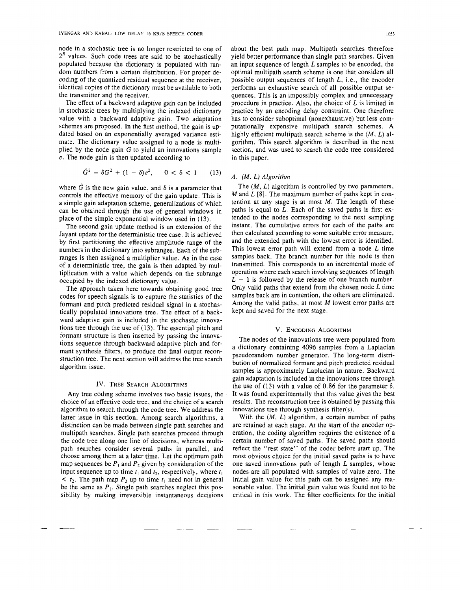node in a stochastic tree is no longer restricted to one of  $2<sup>R</sup>$  values. Such code trees are said to be stochastically populated because the dictionary is populated with random numbers from a certain distribution. For proper decoding of the quantized residual sequence at the receiver. identical copies of the dictionary must be available to both the transmitter and the receiver.

The effect of a backward adaptive gain can be included in stochastic trees by multiplying the indexed dictionary value with a backward adaptive gain. Two adaptation schemes are proposed. In the first method, the gain is updated based on an exponentially averaged variance estimate. The dictionary value assigned to a node is multiplied by the node gain G to yield an innovations sample e. The node gain is then updated according to

$$
\hat{G}^2 = \delta G^2 + (1 - \delta)e^2, \qquad 0 < \delta < 1 \tag{13}
$$

where  $\hat{G}$  is the new gain value, and  $\delta$  is a parameter that controls the effective memory of the gain update. This is a simple gain adaptation scheme, generalizations of which can be obtained through the use of general windows in place of the simple exponential window used in (13).

The second gain update method is an extension of the Jayant update for the deterministic tree case. It is achieved by first partitioning the effective amplitude range of the numbers in the dictionary into subranges. Each of the subranges is then assigned a multiplier value. **As** in the case of a deterministic tree, the gain is then adapted by multiplication with a value which depends on the subrange occupied by the indexed dictionary value.

The approach taken here towards obtaining good tree codes for speech signals is to capture the statistics of the formant and pitch predicted residual signal in a stochastically populated innovations tree. The effect of a backward adaptive gain is included in the stochastic innovations tree through the use of (13). The essential pitch and formant structure is then inserted by passing the innovations sequence through backward adaptive pitch and formant synthesis filters, to produce the final output reconstruction tree. The next section will address the tree search algorithm issue.

#### **IV.** TREE SEARCH ALGORITHMS

Any tree coding scheme involves two basic issues, the choice of an effective code tree, and the choice of a search algorithm to search through the code tree. We address the latter issue in this section. Among search algorithms, a distinction can be made between single path searches and multipath searches. Single path searches proceed through the code tree along one line of decisions, whereas multipath searches consider several paths in parallel, and choose among them at a later time. Let the optimum path map sequences be  $P_1$  and  $P_2$  given by consideration of the input sequence up to time  $t_1$  and  $t_2$ , respectively, where  $t_1$  $\lt t_1$ . The path map  $P_2$  up to time  $t_1$  need not in general be the same as  $P_1$ . Single path searches neglect this possibility by making irreversible instantaneous decisions

about the best path map. Multipath searches therefore yield better performance than single path searches. Given an input sequence of length *L* samples to be encoded, the optimal multipath search scheme is one that considers all possible output sequences of length *L,* i.e., the encoder performs an exhaustive search of all possible output sequences. This is an impossibly complex and unnecessary procedure in practice. Also, the choice of  $L$  is limited in practice by an encoding delay constraint. One therefore has to consider suboptimal (nonexhaustive) but less computationally expensive multipath search schemes. A highly efficient multipath search scheme is the *(M,* L) algorithm. This search algorithm is described in the next section, and was used to search the code tree considered in this paper.

### *A. (M, L) Algorithm*

The *(M, L)* algorithm is controlled by two parameters, *M* and *L* **[8].** The maximum number of paths kept in contention at any stage is at most *M.* The length of these paths is equal to *L.* Each of the saved paths is first extended to the nodes corresponding to the next sampling instant. The cumulative errors for each of the paths are then calculated according to some suitable error measure, and the extended path with the lowest error is identified. This lowest error path will extend from a node *L* time samples back. The branch number for this node is then transmitted. This corresponds to an incremental mode of operation where each search involving sequences of length  $L + 1$  is followed by the release of one branch number. Only valid paths that extend from the chosen node *L* time samples back are in contention, the others are eliminated. Among the valid paths, at most *M* lowest error paths are kept and saved for the next stage.

#### **V.** ENCODING ALGORITHM

The nodes of the innovations tree were populated from a dictionary containing 4096 samples from a Laplacian pseudorandom number generator. The long-term distribution of normalized formant and pitch predicted residual samples is approximately Laplacian in nature. Backward gain adaptation is included in the innovations tree through the use of (13) with a value of 0.86 for the parameter  $\delta$ . It was found experimentally that this value gives the best results. The reconstruction tree is obtained by passing this innovations tree through synthesis filter(s).

With the *(M, L)* algorithm, a certain number of paths are retained at each stage. At the start of the encoder operation, the coding algorithm requires the existence of a certain number of saved paths. The saved paths should reflect the "rest state" of the coder before start up. The most obvious choice for the initial saved paths is to have one saved innovations path of length *L* samples, whose nodes are all populated with samples of value zero. The initial gain value for this path can be assigned any reasonable value. The initial gain value was found not to be critical in this work. The filter coefficients for the initial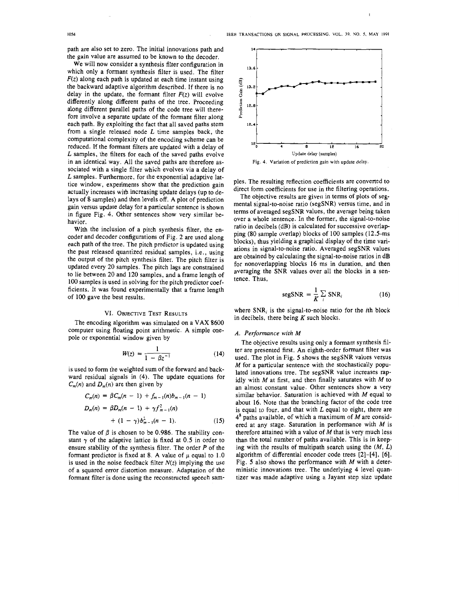$\mathbf{1}$ 

path are also set to zero. The initial innovations path and the gain value are assumed to be known to the decoder.

We will now consider a synthesis filter configuration in which only a formant synthesis filter is used. The filter  $F(z)$  along each path is updated at each time instant using the backward adaptive algorithm described. If there is no delay in the update, the formant filter  $F(z)$  will evolve differently along different paths of the tree. Proceeding along different parallel paths of the code tree will therefore involve a separate update of the formant filter along each path. By exploiting the fact that all saved paths stem from a single released node *L* time samples back, the computational complexity of the encoding scheme can be reduced. If the formant filters are updated with a delay of *L* samples, the filters for each of the saved paths evolve in an identical way. All the saved paths are therefore associated with a single filter which evolves via a delay of *L* samples. Furthermore, for the exponential adaptive lattice window, experiments show that the prediction gain actually increases with increasing update delays (up to delays of 8 samples) and then levels off. **A** plot of prediction gain versus update delay for a particular sentence is shown in figure Fig. 4. Other sentences show very similar behavior.

With the inclusion of a pitch synthesis filter, the encoder and decoder configurations of Fig. **2** are used along each path of the tree. The pitch predictor is updated using the past released quantized residual samples, i.e., using the output of the pitch synthesis filter. The pitch filter is updated every **20** samples. The pitch lags are constrained to lie between **20** and **120** samples, and a frame length of 100 samples is used in solving **for** the pitch predictor coefficients. It was found experimentally that a frame length of 100 gave the best results.

#### **VI.** OBJECTIVE TEST RESULTS

The encoding algorithm was simulated on a VAX 8600 computer using floating point arithmetic. A simple onepole or exponential window given by

$$
W(z) = \frac{1}{1 - \beta z^{-1}} \tag{14}
$$

is used to form the weighted sum of the forward and backward residual signals in **(4).** The update equations for  $C_m(n)$  and  $D_m(n)$  are then given by

$$
C_m(n) = \beta C_m(n-1) + f_{m-1}(n)b_{m-1}(n-1)
$$
  
\n
$$
D_m(n) = \beta D_m(n-1) + \gamma f_{m-1}^2(n)
$$
  
\n
$$
+ (1 - \gamma)b_{m-1}^2(n-1).
$$
 (15)

The value of  $\beta$  is chosen to be 0.986. The stability constant  $\gamma$  of the adaptive lattice is fixed at 0.5 in order to ensure stability of the synthesis filter. The order *P* of the formant predictor is fixed at 8. A value of  $\mu$  equal to 1.0 is used in the noise feedback filter  $N(z)$  implying the use of a squared error distortion measure. Adaptation of the formant filter is done using the reconstructed speech sam-



**Fig. 4. Variation** of **prediction gain** with **update delay.** 

ples. The resulting reflection coefficients are converted to direct form coefficients for use in the filtering operations.

The objective results are given in terms of plots of segmental signal-to-noise ratio (segSNR) versus time, and in terms of averaged segSNR values, the average being taken over a whole sentence. In the former, the signal-to-noise ratio in decibels (dB) is calculated for successive overlapping (80 sample overlap) blocks of 100 samples (12.5-ms blocks), thus yielding a graphical display of the time variations in signal-to-noise ratio. Averaged segSNR values are obtained by calculating the signal-to-noise ratios in dB for nonoverlapping blocks 16 ms in duration, and then averaging the SNR values over all the blocks in a sentence. Thus,

$$
segSNR = \frac{1}{K} \sum_{i} SNR_{i}
$$
 (16)

where SNR<sub>i</sub> is the signal-to-noise ratio for the *i*th block in decibels, there being *K* such blocks.

### *A. Performance* with *M*

The objective results using only a formant synthesis filter are presented first. An eighth-order formant filter was used. The plot in Fig. 5 shows the segSNR values versus *M* for a particular sentence with the stochastically populated innovations tree. The segSNR value increases rapidly with *M* at first, and then finally saturates with *M* to an almost constant value. Other sentences show a very similar behavior. Saturation is achieved with *M* equal to about 16. Note that the branching factor of the code tree is equal to four, and that with *L* equal to eight, there are **4\*** paths available, of which a maximum of *M* are considered at any stage. Saturation in performance with *M* is therefore attained with a value of *M* that is very much less than the total number of paths available. This is in keeping with the results of multipath search using the *(M, L)*  algorithm of differential encoder code trees **[2]-[4],** *[6].*  Fig. *5* also shows the performance with *M* with a deterministic innovations tree. The underlying **4** level quantizer was made adaptive using a Jayant step size update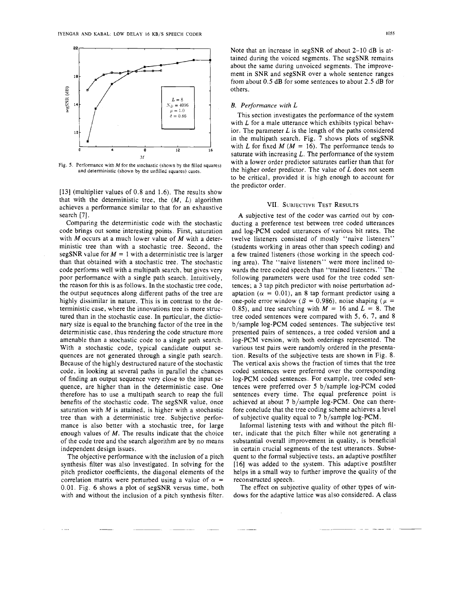

Fig. 5. Performance with *M* for the stochastic (shown by the filled squares) and deterministic (shown by the unfilled squares) cases.

[13] (multiplier values of 0.8 and 1.6). The results show that with the deterministic tree, the *(M, L)* algorithm achieves a performance similar to that for an exhaustive search [7]. **A** subjective test of the coder was carried out by con-

code brings out some interesting points. First, saturation and log-PCM coded utterances of various bit rates. The with *M* occurs at a much lower value of *M* with a deter-<br>twelve listeners consisted of mostly "naive listeners" ministic tree than with a stochastic tree. Second, the (students working in areas other than speech coding) and segSNR value for  $M = 1$  with a deterministic tree is larger a few trained listeners (those working in the speech codthan that obtained with a stochastic tree. The stochastic ing area). The "naive listeners" were more inclined tocode performs well with a multipath search, but gives very wards the tree coded speech than "trained listeners." The poor performance with a single path search. Intuitively, following parameters were used for the tree coded senthe reason for this is as follows. In the stochastic tree code, tences; a 3 tap pitch predictor with noise perturbation adthe output sequences along different paths of the tree are aptation  $(\alpha = 0.01)$ , an 8 tap formant predictor using a highly dissimilar in nature. This is in contrast to the de- one-pole error window  $(\beta = 0.986)$ , noise sha highly dissimilar in nature. This is in contrast to the de-<br>terministic case, where the innovations tree is more struc-<br>0.85), and tree searching with  $M = 16$  and  $L = 8$ . The tured than in the stochastic case. In particular, the dictio- tree coded sentences were compared with 5, 6, **7,** and 8 nary size is equal to the branching factor of the tree in the b/sample log-PCM coded sentences. The subjective test deterministic case, thus rendering the code structure more presented pairs of sentences, a tree coded version and a amenable than a stochastic code to a single path search. log-PCM version, with both orderings represented. The With a stochastic code, typical candidate output sequences are not generated through a single path search. Because of the highly destructured nature of the stochastic code, in looking at several paths in parallel the chances of finding an output sequence very close to the input sequence, are higher than in the deterministic case. One therefore has to use a multipath search to reap the full benefits of the stochastic code. The segSNR value, once saturation with *M* is attained, is higher with a stochastic tree than with a deterministic tree. Subjective performance is also better with a stochastic tree, for large enough values of *M.* The results indicate that the choice of the code tree and the search algorithm are by no means independent design issues.

synthesis filter was also investigated. In solving for the correlation matrix were perturbed using a value of  $\alpha$  = reconstructed speech. 0.01. Fig. 6 shows a plot of segSNR versus time, both The effect on subjective quality of other types of win-

tained during the voiced segments. The segSNR remains about the same during unvoiced segments. The improvefrom about 0.5 dB for some sentences to about *2.5* **dB** for others. **<sup>18</sup>**ment in SNR and segSNR over a whole sentence ranges

# *B. Performance with L*

This section investigates the performance of the system with *L* for a male utterance which exhibits typical behavin the multipath search. Fig. **7** shows plots of segSNR with *L* for fixed *M* ( $M = 16$ ). The performance tends to saturate with increasing *L.* The performance of the system with a lower order predictor saturates earlier than that for to be critical, provided it is high enough to account for the predictor order. 10 ior. The parameter *L* is the length of the paths considered the higher order predictor. The value of *L* does not seem

#### VII. SUBJECTIVE TEST RESULTS

Comparing the deterministic code with the stochastic ducting a preference test between tree coded utterances 0.85), and tree searching with  $M = 16$  and  $L = 8$ . The various test pairs were randomly ordered in the presentation. Results of the subjective tests are shown in Fig. 8. The vertical axis shows the fraction of times that the tree coded sentences were preferred over the corresponding log-PCM coded sentences. For example, tree coded sentences were preferred over 5 b/sample log-PCM coded sentences every time. The equal preference point is achieved at about 7 b/sample log-PCM. One can therefore conclude that the tree coding scheme achieves a level of subjective quality equal to **7** b/sample log-PCM.

Informal listening tests with and without the pitch filter, indicate that the pitch filter while not generating a substantial overall improvement in quality, is beneficial in certain crucial segments of the test utterances. Subse-The objective performance with the inclusion of a pitch quent to the formal subjective tests, an adaptive postfilter nthesis filter was also investigated. In solving for the [16] was added to the system. This adaptive post pitch predictor coefficients, the diagonal elements of the helps in a small way to further improve the quality of the

with and without the inclusion of a pitch synthesis filter. dows for the adaptive lattice was also considered. **A** class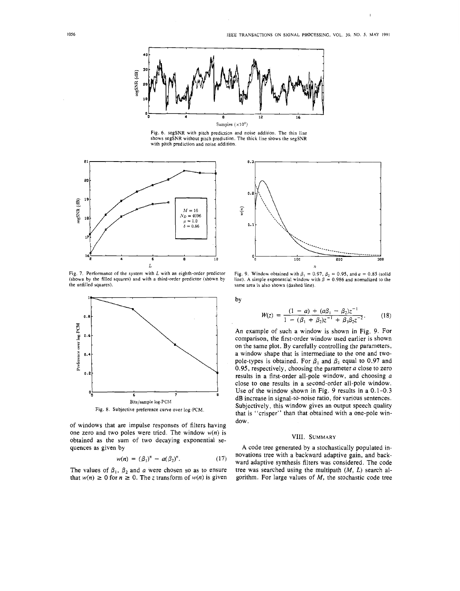

Fig. 6. segSNR with pitch prediction and noise addition. The thin line<br>shows segSNR without pitch prediction. The thick line shows the segSNR with pitch prediction and noise addition.



Fig. 7. Performance **of** the system with *L* with an eighth-order predictor (shown by the filled squares) and with a third-order predictor (shown by the unfilled squares).



of windows that are impulse responses of filters having one zero and two poles were tried. The window  $w(n)$  is obtained as the sum of two decaying exponential sequences as given by

$$
w(n) = (\beta_1)^n - a(\beta_2)^n.
$$
 (17)

The values of  $\beta_1$ ,  $\beta_2$  and a were chosen so as to ensure that  $w(n) \ge 0$  for  $n \ge 0$ . The *z* transform of  $w(n)$  is given



Fig. 9. Window obtained with  $\beta_1 = 0.97$ ,  $\beta_2 = 0.95$ , and  $a = 0.85$  (solid line). A simple exponential window with  $\beta = 0.986$  and normalized to the same area is also shown (dashed line).

by

$$
W(z) = \frac{(1-a) + (a\beta_1 - \beta_2)z^{-1}}{1 - (\beta_1 + \beta_2)z^{-1} + \beta_1\beta_2z^{-2}}.
$$
 (18)

An example of such a window is shown in Fig. 9. For comparison, the first-order window used earlier is shown on the same plot. By carefully controlling the parameters, a window shape that is intermediate to the one and twopole-types is obtained. For  $\beta_1$  and  $\beta_2$  equal to 0.97 and 0.95, respectively, choosing the parameter  $a$  close to zero results in a first-order all-pole window, and choosing a close to one results in a second-order ali-pole window. Use of the window shown in Fig. 9 results in a 0.1-0.3 dB increase in signal-to-noise ratio, for various sentences. Subjectively, this window gives an output speech quality that is "crisper" than that obtained with **a** one-pole window.

#### **VIII.** SUMMARY

**A** code tree generated by a stochastically populated innovations tree with a backward adaptive gain, and backward adaptive synthesis filters was considered. The code tree was searched using the multipath *(M, L)* search algorithm. For large values of *M,* the stochastic code tree